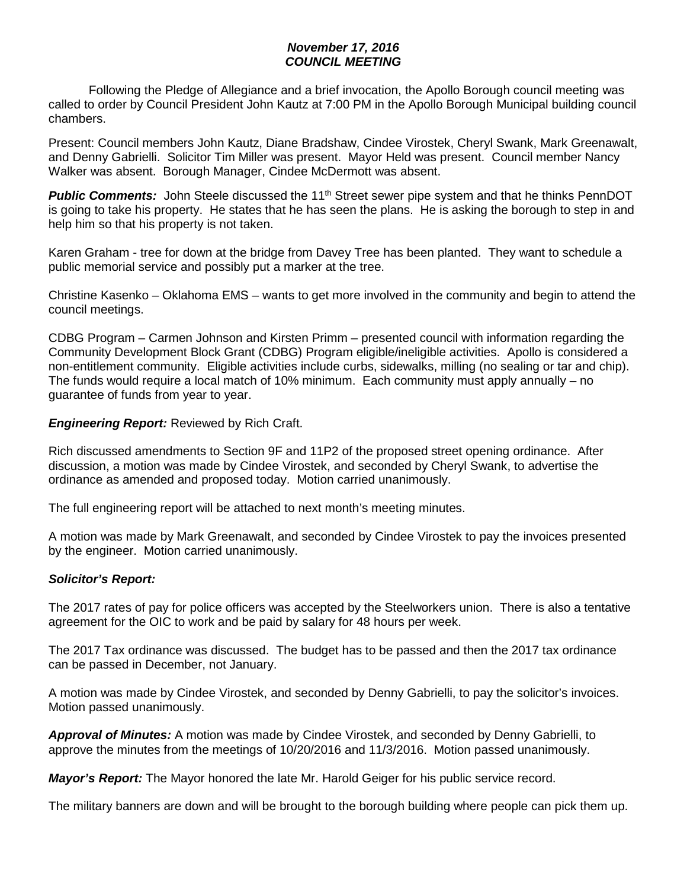## *November 17, 2016 COUNCIL MEETING*

Following the Pledge of Allegiance and a brief invocation, the Apollo Borough council meeting was called to order by Council President John Kautz at 7:00 PM in the Apollo Borough Municipal building council chambers.

Present: Council members John Kautz, Diane Bradshaw, Cindee Virostek, Cheryl Swank, Mark Greenawalt, and Denny Gabrielli. Solicitor Tim Miller was present. Mayor Held was present. Council member Nancy Walker was absent. Borough Manager, Cindee McDermott was absent.

**Public Comments:** John Steele discussed the 11<sup>th</sup> Street sewer pipe system and that he thinks PennDOT is going to take his property. He states that he has seen the plans. He is asking the borough to step in and help him so that his property is not taken.

Karen Graham - tree for down at the bridge from Davey Tree has been planted. They want to schedule a public memorial service and possibly put a marker at the tree.

Christine Kasenko – Oklahoma EMS – wants to get more involved in the community and begin to attend the council meetings.

CDBG Program – Carmen Johnson and Kirsten Primm – presented council with information regarding the Community Development Block Grant (CDBG) Program eligible/ineligible activities. Apollo is considered a non-entitlement community. Eligible activities include curbs, sidewalks, milling (no sealing or tar and chip). The funds would require a local match of 10% minimum. Each community must apply annually – no guarantee of funds from year to year.

## *Engineering Report:* Reviewed by Rich Craft.

Rich discussed amendments to Section 9F and 11P2 of the proposed street opening ordinance. After discussion, a motion was made by Cindee Virostek, and seconded by Cheryl Swank, to advertise the ordinance as amended and proposed today. Motion carried unanimously.

The full engineering report will be attached to next month's meeting minutes.

A motion was made by Mark Greenawalt, and seconded by Cindee Virostek to pay the invoices presented by the engineer. Motion carried unanimously.

# *Solicitor's Report:*

The 2017 rates of pay for police officers was accepted by the Steelworkers union. There is also a tentative agreement for the OIC to work and be paid by salary for 48 hours per week.

The 2017 Tax ordinance was discussed. The budget has to be passed and then the 2017 tax ordinance can be passed in December, not January.

A motion was made by Cindee Virostek, and seconded by Denny Gabrielli, to pay the solicitor's invoices. Motion passed unanimously.

*Approval of Minutes:* A motion was made by Cindee Virostek, and seconded by Denny Gabrielli, to approve the minutes from the meetings of 10/20/2016 and 11/3/2016. Motion passed unanimously.

*Mayor's Report:* The Mayor honored the late Mr. Harold Geiger for his public service record.

The military banners are down and will be brought to the borough building where people can pick them up.